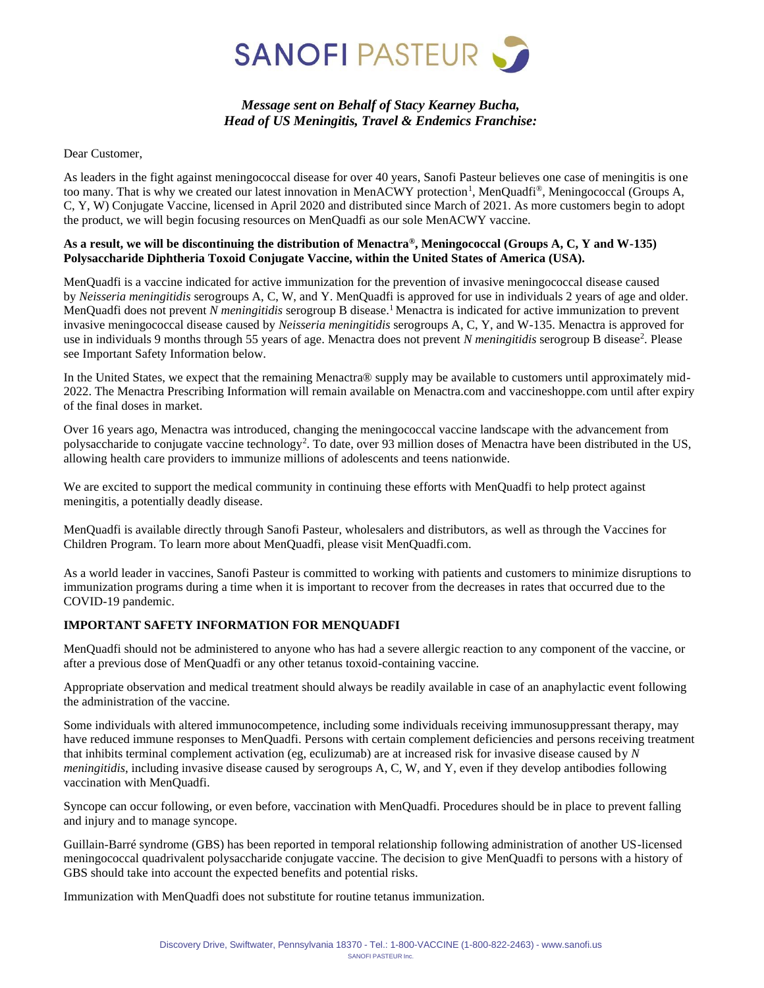

# *Message sent on Behalf of Stacy Kearney Bucha, Head of US Meningitis, Travel & Endemics Franchise:*

Dear Customer,

As leaders in the fight against meningococcal disease for over 40 years, Sanofi Pasteur believes one case of meningitis is one too many. That is why we created our latest innovation in MenACWY protection<sup>1</sup>, MenQuadfi<sup>®</sup>, Meningococcal (Groups A, C, Y, W) Conjugate Vaccine, licensed in April 2020 and distributed since March of 2021. As more customers begin to adopt the product, we will begin focusing resources on MenQuadfi as our sole MenACWY vaccine.

#### **As a result, we will be discontinuing the distribution of Menactra®, Meningococcal (Groups A, C, Y and W-135) Polysaccharide Diphtheria Toxoid Conjugate Vaccine, within the United States of America (USA).**

MenQuadfi is a vaccine indicated for active immunization for the prevention of invasive meningococcal disease caused by *Neisseria meningitidis* serogroups A, C, W, and Y. MenQuadfi is approved for use in individuals 2 years of age and older. MenQuadfi does not prevent *N meningitidis* serogroup B disease.<sup>1</sup> Menactra is indicated for active immunization to prevent invasive meningococcal disease caused by *Neisseria meningitidis* serogroups A, C, Y, and W-135. Menactra is approved for use in individuals 9 months through 55 years of age. Menactra does not prevent *N meningitidis* serogroup B disease<sup>2</sup>. Please see Important Safety Information below.

In the United States, we expect that the remaining Menactra® supply may be available to customers until approximately mid-2022. The Menactra Prescribing Information will remain available on Menactra.com and vaccineshoppe.com until after expiry of the final doses in market.

Over 16 years ago, Menactra was introduced, changing the meningococcal vaccine landscape with the advancement from polysaccharide to conjugate vaccine technology<sup>2</sup>. To date, over 93 million doses of Menactra have been distributed in the US, allowing health care providers to immunize millions of adolescents and teens nationwide.

We are excited to support the medical community in continuing these efforts with MenQuadfi to help protect against meningitis, a potentially deadly disease.

MenQuadfi is available directly through Sanofi Pasteur, wholesalers and distributors, as well as through the Vaccines for Children Program. To learn more about MenQuadfi, please visit MenQuadfi.com.

As a world leader in vaccines, Sanofi Pasteur is committed to working with patients and customers to minimize disruptions to immunization programs during a time when it is important to recover from the decreases in rates that occurred due to the COVID-19 pandemic.

### **IMPORTANT SAFETY INFORMATION FOR MENQUADFI**

MenQuadfi should not be administered to anyone who has had a severe allergic reaction to any component of the vaccine, or after a previous dose of MenQuadfi or any other tetanus toxoid-containing vaccine.

Appropriate observation and medical treatment should always be readily available in case of an anaphylactic event following the administration of the vaccine.

Some individuals with altered immunocompetence, including some individuals receiving immunosuppressant therapy, may have reduced immune responses to MenQuadfi. Persons with certain complement deficiencies and persons receiving treatment that inhibits terminal complement activation (eg, eculizumab) are at increased risk for invasive disease caused by *N meningitidis*, including invasive disease caused by serogroups A, C, W, and Y, even if they develop antibodies following vaccination with MenQuadfi.

Syncope can occur following, or even before, vaccination with MenQuadfi. Procedures should be in place to prevent falling and injury and to manage syncope.

Guillain-Barré syndrome (GBS) has been reported in temporal relationship following administration of another US-licensed meningococcal quadrivalent polysaccharide conjugate vaccine. The decision to give MenQuadfi to persons with a history of GBS should take into account the expected benefits and potential risks.

Immunization with MenQuadfi does not substitute for routine tetanus immunization.